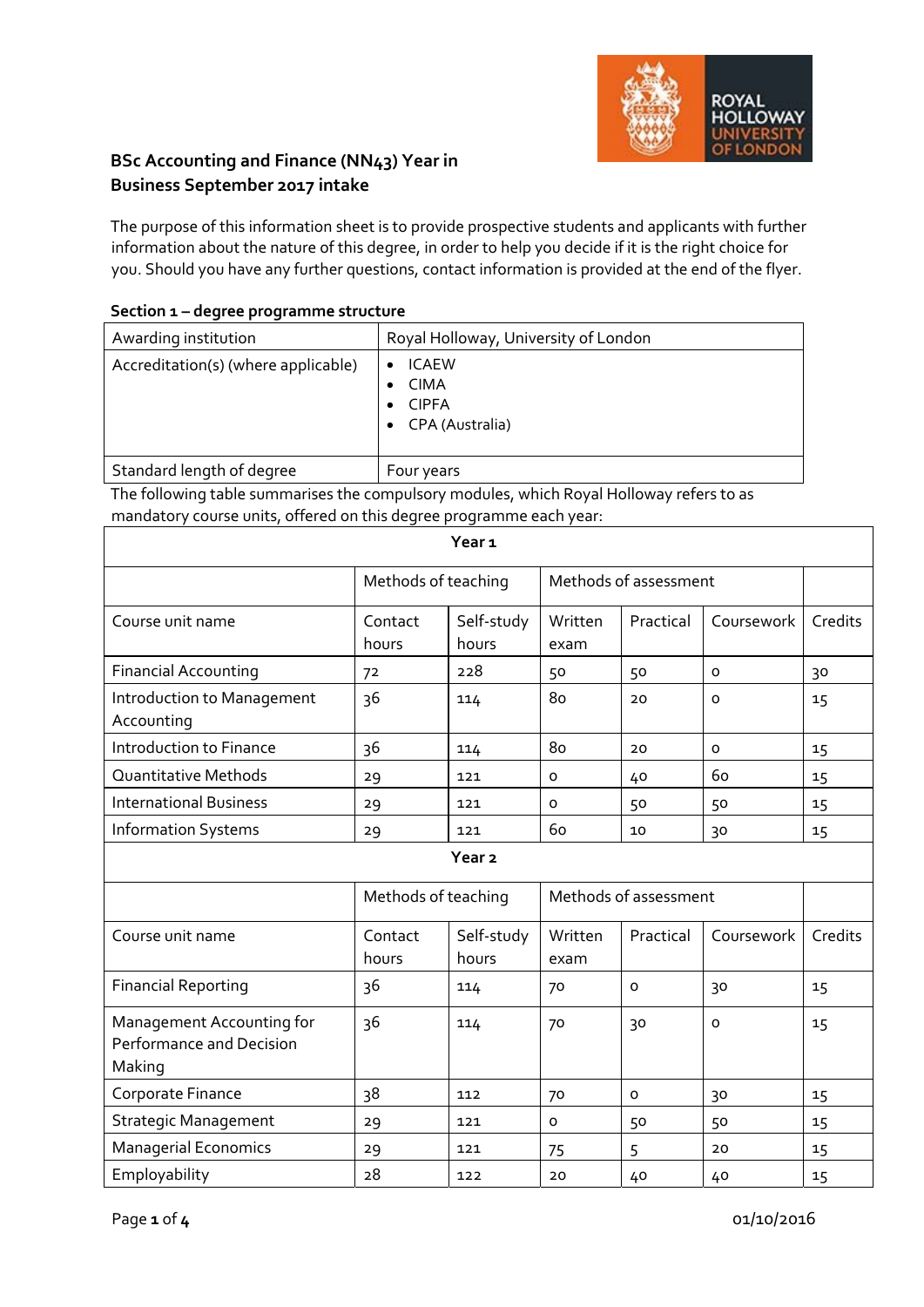

## **BSc Accounting and Finance (NN43) Year in Business September 2017 intake**

The purpose of this information sheet is to provide prospective students and applicants with further information about the nature of this degree, in order to help you decide if it is the right choice for you. Should you have any further questions, contact information is provided at the end of the flyer.

|  | Section 1 – degree programme structure |
|--|----------------------------------------|
|--|----------------------------------------|

| Awarding institution                | Royal Holloway, University of London                           |
|-------------------------------------|----------------------------------------------------------------|
| Accreditation(s) (where applicable) | <b>ICAEW</b><br><b>CIMA</b><br><b>CIPFA</b><br>CPA (Australia) |
| Standard length of degree           | Four years                                                     |

The following table summarises the compulsory modules, which Royal Holloway refers to as mandatory course units, offered on this degree programme each year:

| Year <sub>1</sub>                        |                     |                     |                 |                       |            |         |
|------------------------------------------|---------------------|---------------------|-----------------|-----------------------|------------|---------|
|                                          | Methods of teaching |                     |                 | Methods of assessment |            |         |
| Course unit name                         | Contact<br>hours    | Self-study<br>hours | Written<br>exam | Practical             | Coursework | Credits |
| <b>Financial Accounting</b>              | 72                  | 228                 | 50              | 50                    | 0          | 30      |
| Introduction to Management<br>Accounting | 36                  | 114                 | 80              | 20                    | O          | 15      |
| Introduction to Finance                  | 36                  | 114                 | 80              | 20                    | O          | 15      |
| <b>Quantitative Methods</b>              | 29                  | 121                 | 0               | 40                    | 60         | 15      |
| <b>International Business</b>            | 29                  | 121                 | $\Omega$        | 50                    | 50         | 15      |
| <b>Information Systems</b>               | 29                  | 121                 | 60              | 10                    | 30         | 15      |
| Year <sub>2</sub>                        |                     |                     |                 |                       |            |         |

|                                                                 | Methods of teaching |                     |                 | Methods of assessment |            |         |
|-----------------------------------------------------------------|---------------------|---------------------|-----------------|-----------------------|------------|---------|
| Course unit name                                                | Contact<br>hours    | Self-study<br>hours | Written<br>exam | Practical             | Coursework | Credits |
| <b>Financial Reporting</b>                                      | 36                  | 114                 | 70              | 0                     | 30         | 15      |
| Management Accounting for<br>Performance and Decision<br>Making | 36                  | 114                 | 70              | 30                    | $\circ$    | 15      |
| Corporate Finance                                               | 38                  | 112                 | 70              | O                     | 30         | 15      |
| <b>Strategic Management</b>                                     | 29                  | 121                 | 0               | 50                    | 50         | 15      |
| <b>Managerial Economics</b>                                     | 29                  | 121                 | 75              | 5                     | 20         | 15      |
| Employability                                                   | 28                  | 122                 | 20              | 40                    | 40         | 15      |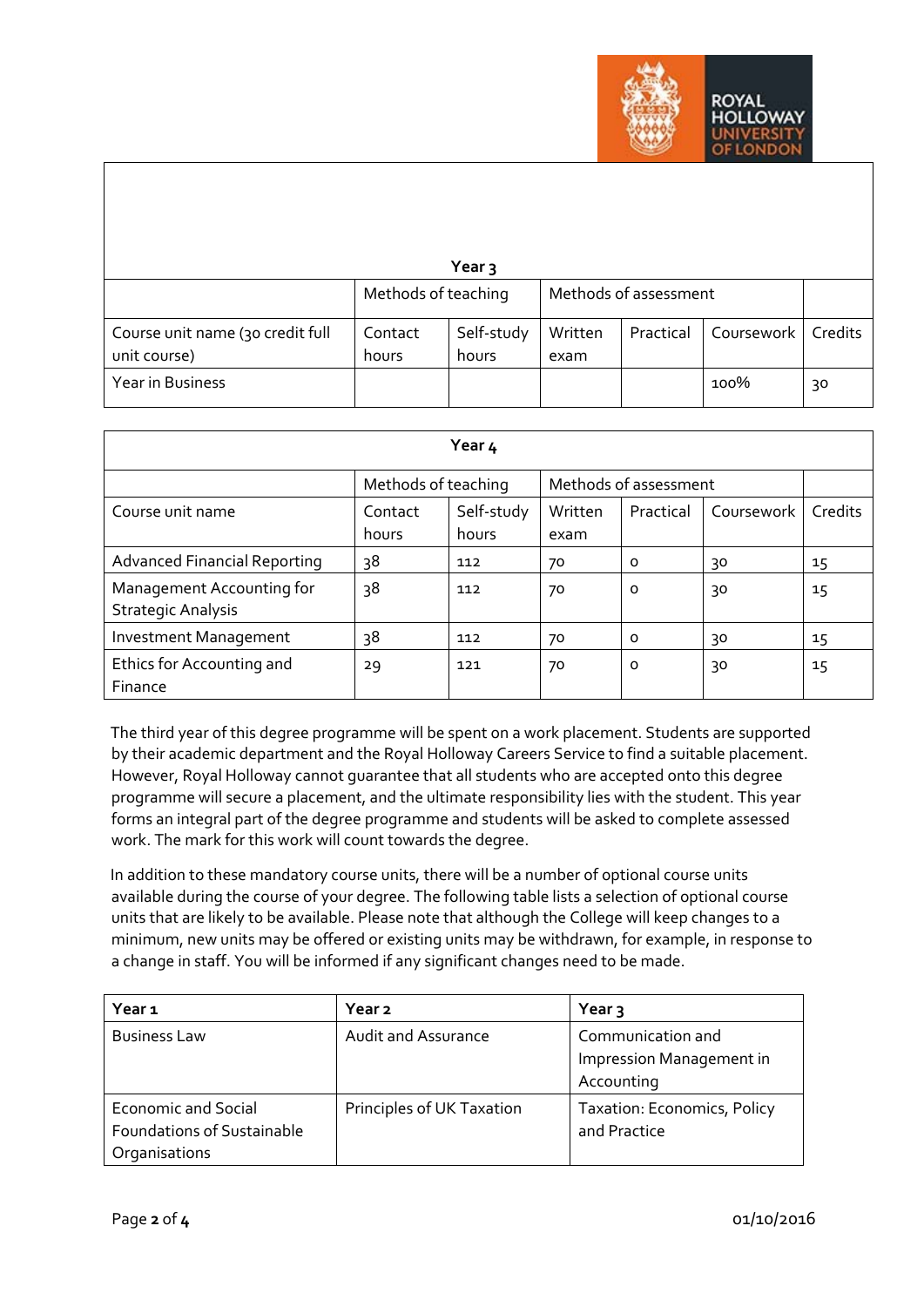

|                                  |                     | Year $\overline{3}$ |         |                       |            |         |
|----------------------------------|---------------------|---------------------|---------|-----------------------|------------|---------|
|                                  | Methods of teaching |                     |         | Methods of assessment |            |         |
| Course unit name (30 credit full | Contact             | Self-study          | Written | Practical             | Coursework | Credits |
| unit course)                     | hours               | hours               | exam    |                       |            |         |
| Year in Business                 |                     |                     |         |                       | 100%       | 30      |

| Year 4                                                 |                                              |                     |                 |           |            |         |
|--------------------------------------------------------|----------------------------------------------|---------------------|-----------------|-----------|------------|---------|
|                                                        | Methods of assessment<br>Methods of teaching |                     |                 |           |            |         |
| Course unit name                                       | Contact<br>hours                             | Self-study<br>hours | Written<br>exam | Practical | Coursework | Credits |
| <b>Advanced Financial Reporting</b>                    | 38                                           | 112                 | 70              | 0         | 30         | 15      |
| Management Accounting for<br><b>Strategic Analysis</b> | 38                                           | 112                 | 70              | O         | 30         | 15      |
| Investment Management                                  | 38                                           | 112                 | 70              | 0         | 30         | 15      |
| Ethics for Accounting and<br>Finance                   | 29                                           | 121                 | 70              | O         | 30         | 15      |

The third year of this degree programme will be spent on a work placement. Students are supported by their academic department and the Royal Holloway Careers Service to find a suitable placement. However, Royal Holloway cannot guarantee that all students who are accepted onto this degree programme will secure a placement, and the ultimate responsibility lies with the student. This year forms an integral part of the degree programme and students will be asked to complete assessed work. The mark for this work will count towards the degree.

In addition to these mandatory course units, there will be a number of optional course units available during the course of your degree. The following table lists a selection of optional course units that are likely to be available. Please note that although the College will keep changes to a minimum, new units may be offered or existing units may be withdrawn, for example, in response to a change in staff. You will be informed if any significant changes need to be made.

| Year 1                            | Year <sub>2</sub>          | Year <sub>3</sub>           |
|-----------------------------------|----------------------------|-----------------------------|
| <b>Business Law</b>               | <b>Audit and Assurance</b> | Communication and           |
|                                   |                            | Impression Management in    |
|                                   |                            | Accounting                  |
| <b>Economic and Social</b>        | Principles of UK Taxation  | Taxation: Economics, Policy |
| <b>Foundations of Sustainable</b> |                            | and Practice                |
| Organisations                     |                            |                             |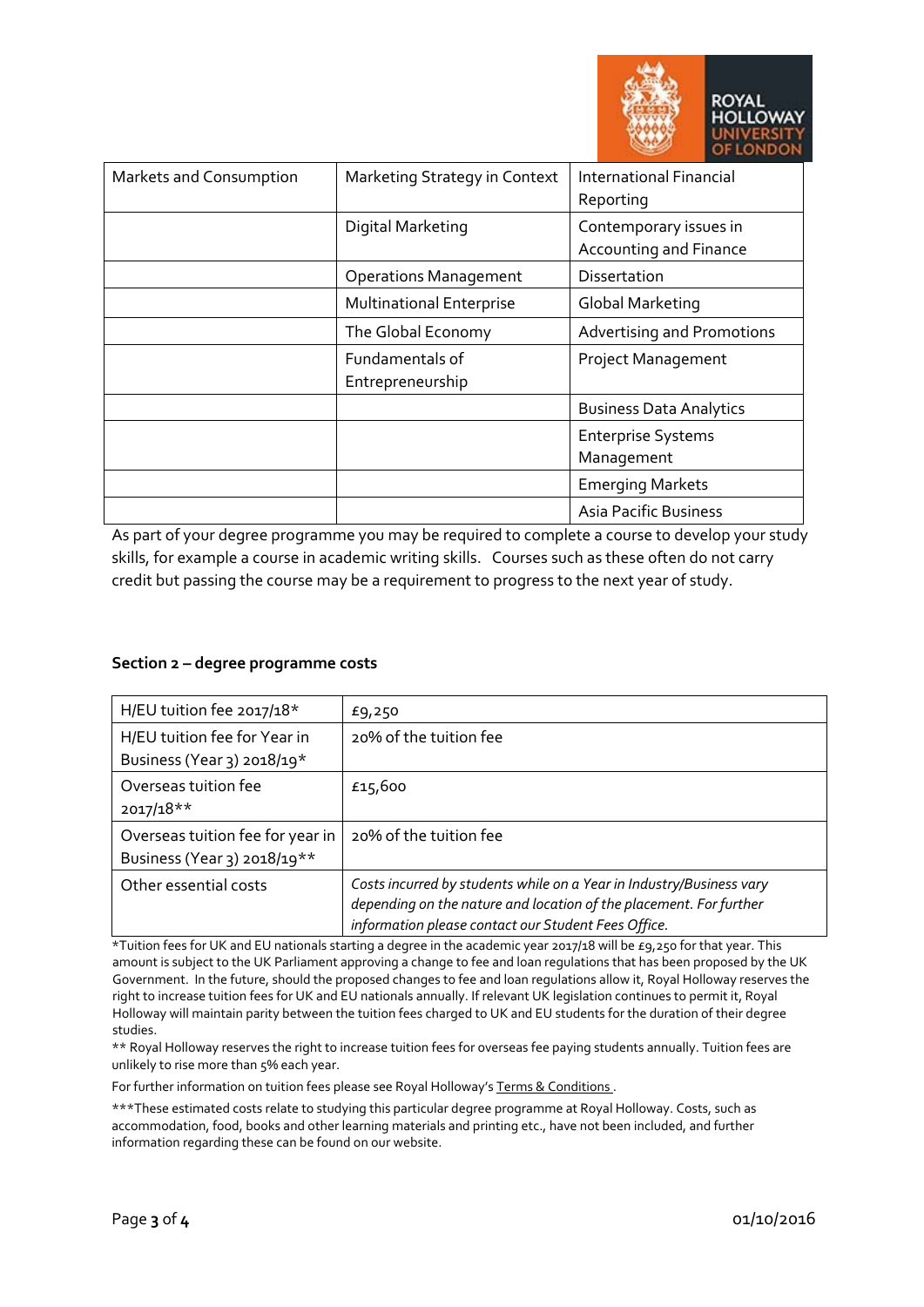

| Markets and Consumption | Marketing Strategy in Context       | International Financial<br>Reporting             |
|-------------------------|-------------------------------------|--------------------------------------------------|
|                         | Digital Marketing                   | Contemporary issues in<br>Accounting and Finance |
|                         | <b>Operations Management</b>        | <b>Dissertation</b>                              |
|                         | <b>Multinational Enterprise</b>     | Global Marketing                                 |
|                         | The Global Economy                  | <b>Advertising and Promotions</b>                |
|                         | Fundamentals of<br>Entrepreneurship | <b>Project Management</b>                        |
|                         |                                     | <b>Business Data Analytics</b>                   |
|                         |                                     | <b>Enterprise Systems</b><br>Management          |
|                         |                                     | <b>Emerging Markets</b>                          |
|                         |                                     | <b>Asia Pacific Business</b>                     |

As part of your degree programme you may be required to complete a course to develop your study skills, for example a course in academic writing skills. Courses such as these often do not carry credit but passing the course may be a requirement to progress to the next year of study.

## **Section 2 – degree programme costs**

| H/EU tuition fee 2017/18*                                       | £9,250                                                                                                                                                                                            |
|-----------------------------------------------------------------|---------------------------------------------------------------------------------------------------------------------------------------------------------------------------------------------------|
| H/EU tuition fee for Year in<br>Business (Year 3) 2018/19*      | 20% of the tuition fee                                                                                                                                                                            |
| Overseas tuition fee<br>$2017/18**$                             | £15,600                                                                                                                                                                                           |
| Overseas tuition fee for year in<br>Business (Year 3) 2018/19** | 20% of the tuition fee                                                                                                                                                                            |
| Other essential costs                                           | Costs incurred by students while on a Year in Industry/Business vary<br>depending on the nature and location of the placement. For further<br>information please contact our Student Fees Office. |

\*Tuition fees for UK and EU nationals starting a degree in the academic year 2017/18 will be £9,250 for that year. This amount is subject to the UK Parliament approving a change to fee and loan regulations that has been proposed by the UK Government. In the future, should the proposed changes to fee and loan regulations allow it, Royal Holloway reserves the right to increase tuition fees for UK and EU nationals annually. If relevant UK legislation continues to permit it, Royal Holloway will maintain parity between the tuition fees charged to UK and EU students for the duration of their degree studies.

\*\* Royal Holloway reserves the right to increase tuition fees for overseas fee paying students annually. Tuition fees are unlikely to rise more than 5% each year.

For further information on tuition fees please see Royal Holloway's Terms & Conditions.

\*\*\*These estimated costs relate to studying this particular degree programme at Royal Holloway. Costs, such as accommodation, food, books and other learning materials and printing etc., have not been included, and further information regarding these can be found on our website.